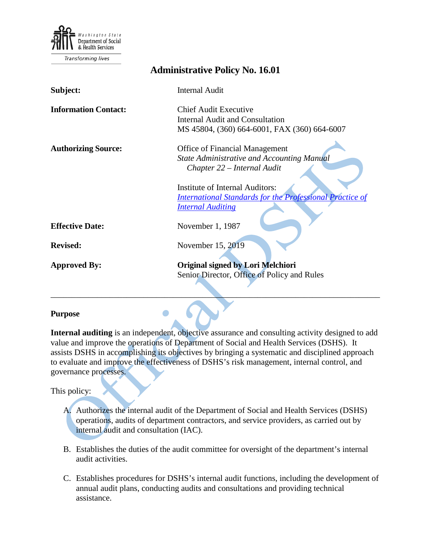

Transforming lives

| <b>Administrative Policy No. 16.01</b> |                                                                                                                                       |
|----------------------------------------|---------------------------------------------------------------------------------------------------------------------------------------|
| Subject:                               | <b>Internal Audit</b>                                                                                                                 |
| <b>Information Contact:</b>            | <b>Chief Audit Executive</b><br><b>Internal Audit and Consultation</b>                                                                |
|                                        | MS 45804, (360) 664-6001, FAX (360) 664-6007                                                                                          |
| <b>Authorizing Source:</b>             | <b>Office of Financial Management</b><br><b>State Administrative and Accounting Manual</b><br>Chapter 22 – Internal Audit             |
|                                        | <b>Institute of Internal Auditors:</b><br><b>International Standards for the Professional Practice of</b><br><b>Internal Auditing</b> |
| <b>Effective Date:</b>                 | November 1, 1987                                                                                                                      |
| <b>Revised:</b>                        | November 15, 2019                                                                                                                     |
| <b>Approved By:</b>                    | Original signed by Lori Melchiori<br>Senior Director, Office of Policy and Rules                                                      |

#### **Purpose**

**Internal auditing** is an independent, objective assurance and consulting activity designed to add value and improve the operations of Department of Social and Health Services (DSHS). It assists DSHS in accomplishing its objectives by bringing a systematic and disciplined approach to evaluate and improve the effectiveness of DSHS's risk management, internal control, and governance processes.

This policy:

- A. Authorizes the internal audit of the Department of Social and Health Services (DSHS) operations, audits of department contractors, and service providers, as carried out by internal audit and consultation (IAC).
- B. Establishes the duties of the audit committee for oversight of the department's internal audit activities.
- C. Establishes procedures for DSHS's internal audit functions, including the development of annual audit plans, conducting audits and consultations and providing technical assistance.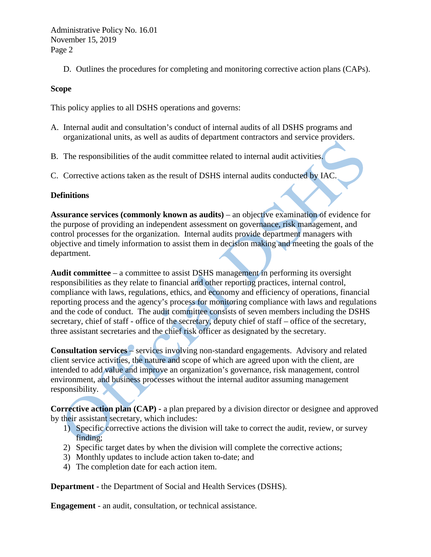D. Outlines the procedures for completing and monitoring corrective action plans (CAPs).

#### **Scope**

This policy applies to all DSHS operations and governs:

- A. Internal audit and consultation's conduct of internal audits of all DSHS programs and organizational units, as well as audits of department contractors and service providers.
- B. The responsibilities of the audit committee related to internal audit activities.
- C. Corrective actions taken as the result of DSHS internal audits conducted by IAC.

## **Definitions**

**Assurance services (commonly known as audits)** – an objective examination of evidence for the purpose of providing an independent assessment on governance, risk management, and control processes for the organization. Internal audits provide department managers with objective and timely information to assist them in decision making and meeting the goals of the department.

**Audit committee** – a committee to assist DSHS management in performing its oversight responsibilities as they relate to financial and other reporting practices, internal control, compliance with laws, regulations, ethics, and economy and efficiency of operations, financial reporting process and the agency's process for monitoring compliance with laws and regulations and the code of conduct. The audit committee consists of seven members including the DSHS secretary, chief of staff - office of the secretary, deputy chief of staff – office of the secretary, three assistant secretaries and the chief risk officer as designated by the secretary.

**Consultation services** – services involving non-standard engagements. Advisory and related client service activities, the nature and scope of which are agreed upon with the client, are intended to add value and improve an organization's governance, risk management, control environment, and business processes without the internal auditor assuming management responsibility.

**Corrective action plan (CAP) -** a plan prepared by a division director or designee and approved by their assistant secretary, which includes:

- 1) Specific corrective actions the division will take to correct the audit, review, or survey finding;
- 2) Specific target dates by when the division will complete the corrective actions;
- 3) Monthly updates to include action taken to-date; and
- 4) The completion date for each action item.

**Department -** the Department of Social and Health Services (DSHS).

**Engagement** - an audit, consultation, or technical assistance.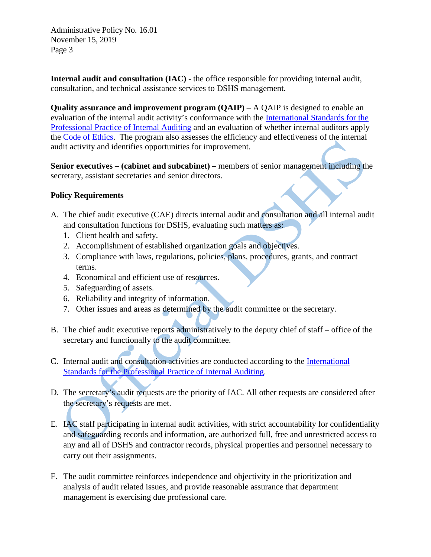**Internal audit and consultation (IAC) -** the office responsible for providing internal audit, consultation, and technical assistance services to DSHS management.

**Quality assurance and improvement program (QAIP)** – A QAIP is designed to enable an evaluation of the internal audit activity's conformance with the [International Standards for the](https://na.theiia.org/standards-guidance/Public%20Documents/IPPF%202013%20English.pdf)  [Professional Practice of Internal Auditing](https://na.theiia.org/standards-guidance/Public%20Documents/IPPF%202013%20English.pdf) and an evaluation of whether internal auditors apply the [Code of Ethics.](https://na.theiia.org/special-promotion/PublicDocuments/Code%20of%20Ethics.pdf) The program also assesses the efficiency and effectiveness of the internal audit activity and identifies opportunities for improvement.

**Senior executives – (cabinet and subcabinet) –** members of senior management including the secretary, assistant secretaries and senior directors.

# **Policy Requirements**

- A. The chief audit executive (CAE) directs internal audit and consultation and all internal audit and consultation functions for DSHS, evaluating such matters as:
	- 1. Client health and safety.
	- 2. Accomplishment of established organization goals and objectives.
	- 3. Compliance with laws, regulations, policies, plans, procedures, grants, and contract terms.
	- 4. Economical and efficient use of resources.
	- 5. Safeguarding of assets.
	- 6. Reliability and integrity of information.
	- 7. Other issues and areas as determined by the audit committee or the secretary.
- B. The chief audit executive reports administratively to the deputy chief of staff office of the secretary and functionally to the audit committee.
- C. Internal audit and consultation activities are conducted according to the [International](https://na.theiia.org/standards-guidance/Public%20Documents/IPPF%202013%20English.pdf)  [Standards for the Professional Practice of Internal Auditing.](https://na.theiia.org/standards-guidance/Public%20Documents/IPPF%202013%20English.pdf)
- D. The secretary's audit requests are the priority of IAC. All other requests are considered after the secretary's requests are met.
- E. IAC staff participating in internal audit activities, with strict accountability for confidentiality and safeguarding records and information, are authorized full, free and unrestricted access to any and all of DSHS and contractor records, physical properties and personnel necessary to carry out their assignments.
- F. The audit committee reinforces independence and objectivity in the prioritization and analysis of audit related issues, and provide reasonable assurance that department management is exercising due professional care.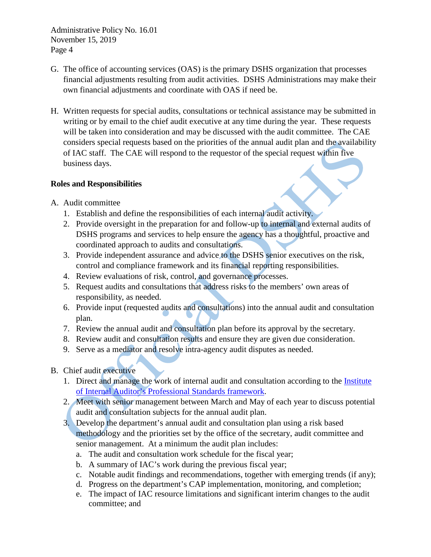- G. The office of accounting services (OAS) is the primary DSHS organization that processes financial adjustments resulting from audit activities. DSHS Administrations may make their own financial adjustments and coordinate with OAS if need be.
- H. Written requests for special audits, consultations or technical assistance may be submitted in writing or by email to the chief audit executive at any time during the year. These requests will be taken into consideration and may be discussed with the audit committee. The CAE considers special requests based on the priorities of the annual audit plan and the availability of IAC staff. The CAE will respond to the requestor of the special request within five business days.

# **Roles and Responsibilities**

- A. Audit committee
	- 1. Establish and define the responsibilities of each internal audit activity.
	- 2. Provide oversight in the preparation for and follow-up to internal and external audits of DSHS programs and services to help ensure the agency has a thoughtful, proactive and coordinated approach to audits and consultations.
	- 3. Provide independent assurance and advice to the DSHS senior executives on the risk, control and compliance framework and its financial reporting responsibilities.
	- 4. Review evaluations of risk, control, and governance processes.
	- 5. Request audits and consultations that address risks to the members' own areas of responsibility, as needed.
	- 6. Provide input (requested audits and consultations) into the annual audit and consultation plan.
	- 7. Review the annual audit and consultation plan before its approval by the secretary.
	- 8. Review audit and consultation results and ensure they are given due consideration.
	- 9. Serve as a mediator and resolve intra-agency audit disputes as needed.

# B. Chief audit executive

- 1. Direct and manage the work of internal audit and consultation according to the [Institute](https://na.theiia.org/standards-guidance/Public%20Documents/IPPF%202013%20English.pdf)  [of Internal Auditor's Professional Standards framework.](https://na.theiia.org/standards-guidance/Public%20Documents/IPPF%202013%20English.pdf)
- 2. Meet with senior management between March and May of each year to discuss potential audit and consultation subjects for the annual audit plan.
- 3. Develop the department's annual audit and consultation plan using a risk based methodology and the priorities set by the office of the secretary, audit committee and senior management. At a minimum the audit plan includes:
	- a. The audit and consultation work schedule for the fiscal year;
	- b. A summary of IAC's work during the previous fiscal year;
	- c. Notable audit findings and recommendations, together with emerging trends (if any);
	- d. Progress on the department's CAP implementation, monitoring, and completion;
	- e. The impact of IAC resource limitations and significant interim changes to the audit committee; and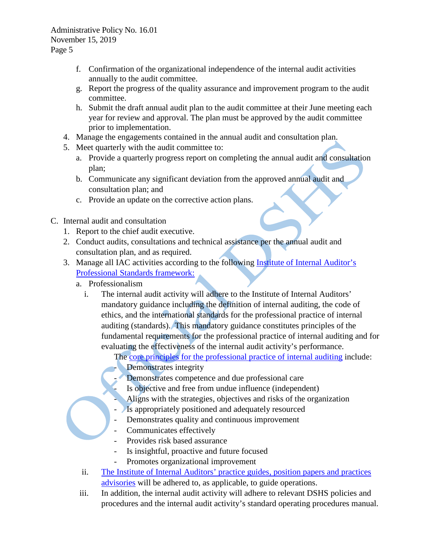- f. Confirmation of the organizational independence of the internal audit activities annually to the audit committee.
- g. Report the progress of the quality assurance and improvement program to the audit committee.
- h. Submit the draft annual audit plan to the audit committee at their June meeting each year for review and approval. The plan must be approved by the audit committee prior to implementation.
- 4. Manage the engagements contained in the annual audit and consultation plan.
- 5. Meet quarterly with the audit committee to:
	- a. Provide a quarterly progress report on completing the annual audit and consultation plan;
	- b. Communicate any significant deviation from the approved annual audit and consultation plan; and
	- c. Provide an update on the corrective action plans.
- C. Internal audit and consultation
	- 1. Report to the chief audit executive.
	- 2. Conduct audits, consultations and technical assistance per the annual audit and consultation plan, and as required.
	- 3. Manage all IAC activities according to the following [Institute of Internal Auditor's](https://na.theiia.org/standards-guidance/Public%20Documents/IPPF%202013%20English.pdf)  [Professional Standards framework:](https://na.theiia.org/standards-guidance/Public%20Documents/IPPF%202013%20English.pdf)
		- a. Professionalism
			- i. The internal audit activity will adhere to the Institute of Internal Auditors' mandatory guidance including the definition of internal auditing, the code of ethics, and the international standards for the professional practice of internal auditing (standards). This mandatory guidance constitutes principles of the fundamental requirements for the professional practice of internal auditing and for evaluating the effectiveness of the internal audit activity's performance.
				- The [core principles for the professional practice of internal auditing](https://na.theiia.org/standards-guidance/mandatory-guidance/Pages/Core-Principles-for-the-Professional-Practice-of-Internal-Auditing.aspx) include: Demonstrates integrity
					- Demonstrates competence and due professional care
					- Is objective and free from undue influence (independent)
					- Aligns with the strategies, objectives and risks of the organization
				- Is appropriately positioned and adequately resourced
				- Demonstrates quality and continuous improvement
				- Communicates effectively
				- Provides risk based assurance
				- Is insightful, proactive and future focused
				- Promotes organizational improvement
			- ii. The Institute of Internal Auditors' [practice guides, position papers and practices](https://na.theiia.org/standards-guidance/recommended-guidance/practice-guides/Pages/Practice-Guides.aspx)  [advisories](https://na.theiia.org/standards-guidance/recommended-guidance/practice-guides/Pages/Practice-Guides.aspx) will be adhered to, as applicable, to guide operations.
		- iii. In addition, the internal audit activity will adhere to relevant DSHS policies and procedures and the internal audit activity's standard operating procedures manual.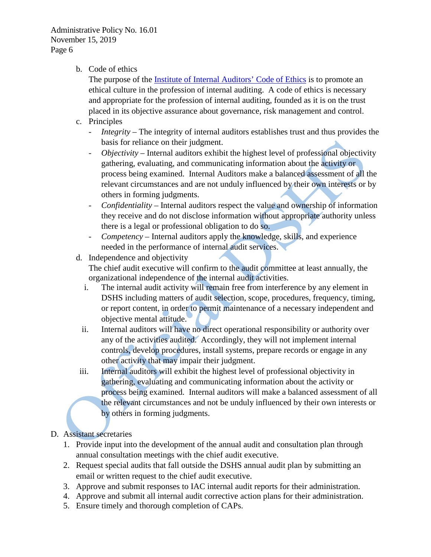b. Code of ethics

The purpose of the [Institute of Internal Auditors' Code of Ethics](https://na.theiia.org/standards-guidance/mandatory-guidance/Pages/Code-of-Ethics.aspx) is to promote an ethical culture in the profession of internal auditing. A code of ethics is necessary and appropriate for the profession of internal auditing, founded as it is on the trust placed in its objective assurance about governance, risk management and control.

- c. Principles
	- *Integrity* The integrity of internal auditors establishes trust and thus provides the basis for reliance on their judgment.
	- *Objectivity* Internal auditors exhibit the highest level of professional objectivity gathering, evaluating, and communicating information about the activity or process being examined. Internal Auditors make a balanced assessment of all the relevant circumstances and are not unduly influenced by their own interests or by others in forming judgments.
	- *Confidentiality* Internal auditors respect the value and ownership of information they receive and do not disclose information without appropriate authority unless there is a legal or professional obligation to do so.
	- *Competency* Internal auditors apply the knowledge, skills, and experience needed in the performance of internal audit services.
- d. Independence and objectivity The chief audit executive will confirm to the audit committee at least annually, the organizational independence of the internal audit activities.
	- i. The internal audit activity will remain free from interference by any element in DSHS including matters of audit selection, scope, procedures, frequency, timing, or report content, in order to permit maintenance of a necessary independent and objective mental attitude.
	- ii. Internal auditors will have no direct operational responsibility or authority over any of the activities audited. Accordingly, they will not implement internal controls, develop procedures, install systems, prepare records or engage in any other activity that may impair their judgment.
- iii. Internal auditors will exhibit the highest level of professional objectivity in gathering, evaluating and communicating information about the activity or process being examined. Internal auditors will make a balanced assessment of all the relevant circumstances and not be unduly influenced by their own interests or by others in forming judgments.

# D. Assistant secretaries

- 1. Provide input into the development of the annual audit and consultation plan through annual consultation meetings with the chief audit executive.
- 2. Request special audits that fall outside the DSHS annual audit plan by submitting an email or written request to the chief audit executive.
- 3. Approve and submit responses to IAC internal audit reports for their administration.
- 4. Approve and submit all internal audit corrective action plans for their administration.
- 5. Ensure timely and thorough completion of CAPs.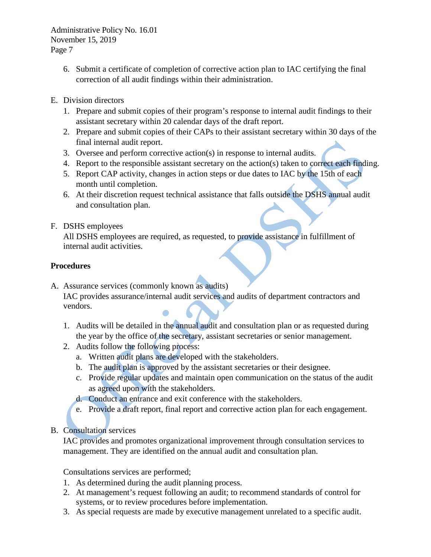- 6. Submit a certificate of completion of corrective action plan to IAC certifying the final correction of all audit findings within their administration.
- E. Division directors
	- 1. Prepare and submit copies of their program's response to internal audit findings to their assistant secretary within 20 calendar days of the draft report.
	- 2. Prepare and submit copies of their CAPs to their assistant secretary within 30 days of the final internal audit report.
	- 3. Oversee and perform corrective action(s) in response to internal audits.
	- 4. Report to the responsible assistant secretary on the action(s) taken to correct each finding.
	- 5. Report CAP activity, changes in action steps or due dates to IAC by the 15th of each month until completion.
	- 6. At their discretion request technical assistance that falls outside the DSHS annual audit and consultation plan.

## F. DSHS employees

All DSHS employees are required, as requested, to provide assistance in fulfillment of internal audit activities.

## **Procedures**

A. Assurance services (commonly known as audits) IAC provides assurance/internal audit services and audits of department contractors and

vendors.

- 1. Audits will be detailed in the annual audit and consultation plan or as requested during the year by the office of the secretary, assistant secretaries or senior management.
- 2. Audits follow the following process:
	- a. Written audit plans are developed with the stakeholders.
	- b. The audit plan is approved by the assistant secretaries or their designee.
	- c. Provide regular updates and maintain open communication on the status of the audit as agreed upon with the stakeholders.
	- d. Conduct an entrance and exit conference with the stakeholders.
	- e. Provide a draft report, final report and corrective action plan for each engagement.
- B. Consultation services

IAC provides and promotes organizational improvement through consultation services to management. They are identified on the annual audit and consultation plan.

Consultations services are performed;

- 1. As determined during the audit planning process.
- 2. At management's request following an audit; to recommend standards of control for systems, or to review procedures before implementation.
- 3. As special requests are made by executive management unrelated to a specific audit.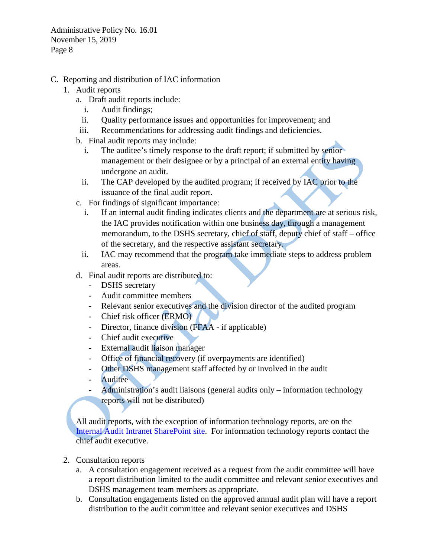- C. Reporting and distribution of IAC information
	- 1. Audit reports
		- a. Draft audit reports include:
			- i. Audit findings;
			- ii. Quality performance issues and opportunities for improvement; and
		- iii. Recommendations for addressing audit findings and deficiencies.
		- b. Final audit reports may include:
			- i. The auditee's timely response to the draft report; if submitted by senior management or their designee or by a principal of an external entity having undergone an audit.
			- ii. The CAP developed by the audited program; if received by IAC prior to the issuance of the final audit report.
		- c. For findings of significant importance:
			- i. If an internal audit finding indicates clients and the department are at serious risk, the IAC provides notification within one business day, through a management memorandum, to the DSHS secretary, chief of staff, deputy chief of staff – office of the secretary, and the respective assistant secretary.
			- ii. IAC may recommend that the program take immediate steps to address problem areas.
		- d. Final audit reports are distributed to:
			- **DSHS** secretary
			- Audit committee members
			- Relevant senior executives and the division director of the audited program
			- Chief risk officer (ERMO)
			- Director, finance division (FFAA if applicable)
			- Chief audit executive
			- External audit liaison manager
			- Office of financial recovery (if overpayments are identified)
			- Other DSHS management staff affected by or involved in the audit
			- Auditee
			- Administration's audit liaisons (general audits only information technology reports will not be distributed)

All audit reports, with the exception of information technology reports, are on the [Internal Audit Intranet SharePoint site.](http://one.dshs.wa.lcl/FS/Loss/Audits/Pages/InternalAudits.aspx) For information technology reports contact the chief audit executive.

- 2. Consultation reports
	- a. A consultation engagement received as a request from the audit committee will have a report distribution limited to the audit committee and relevant senior executives and DSHS management team members as appropriate.
	- b. Consultation engagements listed on the approved annual audit plan will have a report distribution to the audit committee and relevant senior executives and DSHS